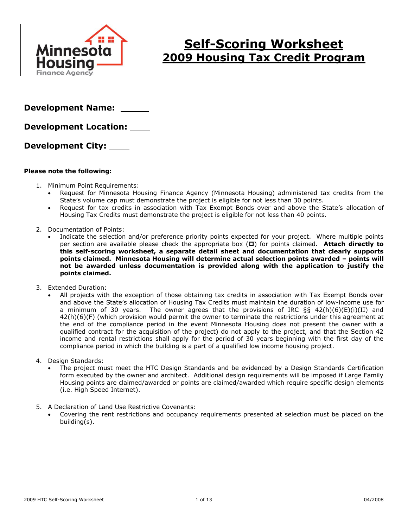

# **Self-Scoring Worksheet 2009 Housing Tax Credit Program**

**Development Name:** 

**Development Location:** 

**Development City:** 

### **Please note the following:**

- 1. Minimum Point Requirements:
	- Request for Minnesota Housing Finance Agency (Minnesota Housing) administered tax credits from the State's volume cap must demonstrate the project is eligible for not less than 30 points.
	- Request for tax credits in association with Tax Exempt Bonds over and above the State's allocation of Housing Tax Credits must demonstrate the project is eligible for not less than 40 points.
- 2. Documentation of Points:
	- Indicate the selection and/or preference priority points expected for your project. Where multiple points per section are available please check the appropriate box ( $\square$ ) for points claimed. Attach directly to **this self-scoring worksheet, a separate detail sheet and documentation that clearly supports points claimed. Minnesota Housing will determine actual selection points awarded – points will not be awarded unless documentation is provided along with the application to justify the points claimed.**
- 3. Extended Duration:
	- All projects with the exception of those obtaining tax credits in association with Tax Exempt Bonds over and above the State's allocation of Housing Tax Credits must maintain the duration of low-income use for a minimum of 30 years. The owner agrees that the provisions of IRC §§ 42(h)(6)(E)(i)(II) and 42(h)(6)(F) (which provision would permit the owner to terminate the restrictions under this agreement at the end of the compliance period in the event Minnesota Housing does not present the owner with a qualified contract for the acquisition of the project) do not apply to the project, and that the Section 42 income and rental restrictions shall apply for the period of 30 years beginning with the first day of the compliance period in which the building is a part of a qualified low income housing project.
- 4. Design Standards:
	- The project must meet the HTC Design Standards and be evidenced by a Design Standards Certification form executed by the owner and architect. Additional design requirements will be imposed if Large Family Housing points are claimed/awarded or points are claimed/awarded which require specific design elements (i.e. High Speed Internet).
- 5. A Declaration of Land Use Restrictive Covenants:
	- Covering the rent restrictions and occupancy requirements presented at selection must be placed on the building(s).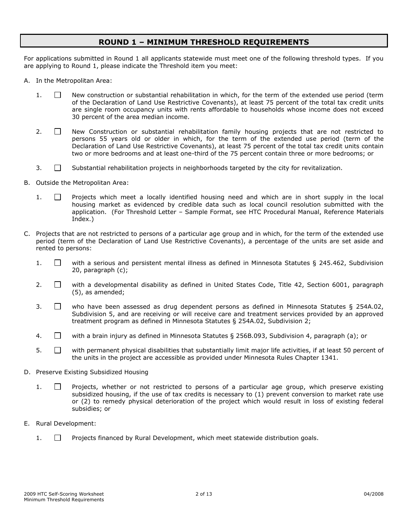## **ROUND 1 – MINIMUM THRESHOLD REQUIREMENTS**

For applications submitted in Round 1 all applicants statewide must meet one of the following threshold types. If you are applying to Round 1, please indicate the Threshold item you meet:

- A. In the Metropolitan Area:
	- 1.  $\Box$  New construction or substantial rehabilitation in which, for the term of the extended use period (term of the Declaration of Land Use Restrictive Covenants), at least 75 percent of the total tax credit units are single room occupancy units with rents affordable to households whose income does not exceed 30 percent of the area median income.
	- 2.  $\Box$  New Construction or substantial rehabilitation family housing projects that are not restricted to persons 55 years old or older in which, for the term of the extended use period (term of the Declaration of Land Use Restrictive Covenants), at least 75 percent of the total tax credit units contain two or more bedrooms and at least one-third of the 75 percent contain three or more bedrooms; or
	- $3.$   $\Box$  Substantial rehabilitation projects in neighborhoods targeted by the city for revitalization.
- B. Outside the Metropolitan Area:
	- 1.  $\Box$  Projects which meet a locally identified housing need and which are in short supply in the local housing market as evidenced by credible data such as local council resolution submitted with the application. (For Threshold Letter – Sample Format, see HTC Procedural Manual, Reference Materials Index.)
- C. Projects that are not restricted to persons of a particular age group and in which, for the term of the extended use period (term of the Declaration of Land Use Restrictive Covenants), a percentage of the units are set aside and rented to persons:
	- 1.  $\Box$  with a serious and persistent mental illness as defined in Minnesota Statutes § 245.462, Subdivision 20, paragraph (c);
	- 2.  $\Box$  with a developmental disability as defined in United States Code, Title 42, Section 6001, paragraph (5), as amended;
	- 3.  $\Box$  who have been assessed as drug dependent persons as defined in Minnesota Statutes § 254A.02, Subdivision 5, and are receiving or will receive care and treatment services provided by an approved treatment program as defined in Minnesota Statutes § 254A.02, Subdivision 2;
	- 4. with a brain injury as defined in Minnesota Statutes § 256B.093, Subdivision 4, paragraph (a); or
	- $5.$   $\Box$  with permanent physical disabilities that substantially limit major life activities, if at least 50 percent of the units in the project are accessible as provided under Minnesota Rules Chapter 1341.
- D. Preserve Existing Subsidized Housing
	- 1.  $\Box$  Projects, whether or not restricted to persons of a particular age group, which preserve existing subsidized housing, if the use of tax credits is necessary to (1) prevent conversion to market rate use or (2) to remedy physical deterioration of the project which would result in loss of existing federal subsidies; or
- E. Rural Development:
	- $1.$   $\Box$  Projects financed by Rural Development, which meet statewide distribution goals.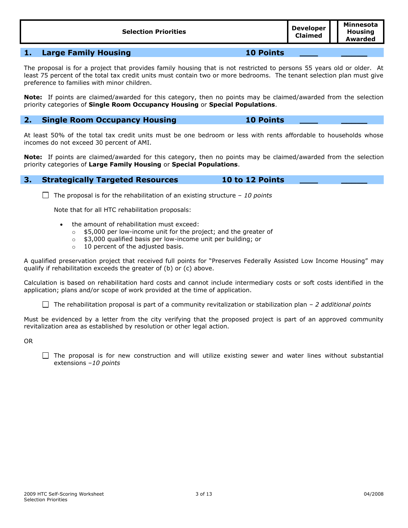| <b>Selection Priorities</b> | Developer<br><b>Claimed</b> | Minnesota<br><b>Housing</b><br>Awarded |
|-----------------------------|-----------------------------|----------------------------------------|
|                             |                             |                                        |

## **1. Large Family Housing 10 Points \_\_\_\_\_**

The proposal is for a project that provides family housing that is not restricted to persons 55 years old or older. At least 75 percent of the total tax credit units must contain two or more bedrooms. The tenant selection plan must give preference to families with minor children.

**Note:** If points are claimed/awarded for this category, then no points may be claimed/awarded from the selection priority categories of **Single Room Occupancy Housing** or **Special Populations**.

## **2. Single Room Occupancy Housing 10 Points \_\_\_\_\_**

At least 50% of the total tax credit units must be one bedroom or less with rents affordable to households whose incomes do not exceed 30 percent of AMI.

**Note:** If points are claimed/awarded for this category, then no points may be claimed/awarded from the selection priority categories of **Large Family Housing** or **Special Populations**.

### **3. Strategically Targeted Resources 10 to 12 Points \_\_\_\_\_**

The proposal is for the rehabilitation of an existing structure – *10 points*

Note that for all HTC rehabilitation proposals:

- the amount of rehabilitation must exceed:
	- o \$5,000 per low-income unit for the project; and the greater of
	- o \$3,000 qualified basis per low-income unit per building; or
	- o 10 percent of the adjusted basis.

A qualified preservation project that received full points for "Preserves Federally Assisted Low Income Housing" may qualify if rehabilitation exceeds the greater of (b) or (c) above.

Calculation is based on rehabilitation hard costs and cannot include intermediary costs or soft costs identified in the application; plans and/or scope of work provided at the time of application.

The rehabilitation proposal is part of a community revitalization or stabilization plan – *2 additional points*

Must be evidenced by a letter from the city verifying that the proposed project is part of an approved community revitalization area as established by resolution or other legal action.

OR

 $\Box$  The proposal is for new construction and will utilize existing sewer and water lines without substantial extensions –*10 points*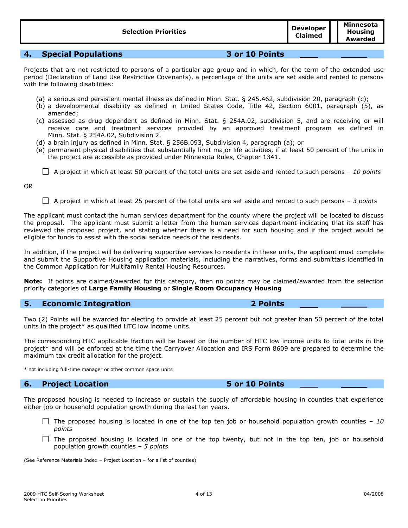**4. Special Populations 3 or 10 Points \_\_\_\_\_**

Projects that are not restricted to persons of a particular age group and in which, for the term of the extended use period (Declaration of Land Use Restrictive Covenants), a percentage of the units are set aside and rented to persons with the following disabilities:

- (a) a serious and persistent mental illness as defined in Minn. Stat. § 245.462, subdivision 20, paragraph (c);
- (b) a developmental disability as defined in United States Code, Title 42, Section 6001, paragraph (5), as amended;
- (c) assessed as drug dependent as defined in Minn. Stat. § 254A.02, subdivision 5, and are receiving or will receive care and treatment services provided by an approved treatment program as defined in Minn. Stat. § 254A.02, Subdivision 2.
- (d) a brain injury as defined in Minn. Stat. § 256B.093, Subdivision 4, paragraph (a); or
- (e) permanent physical disabilities that substantially limit major life activities, if at least 50 percent of the units in the project are accessible as provided under Minnesota Rules, Chapter 1341.

A project in which at least 50 percent of the total units are set aside and rented to such persons – *10 points*

OR

A project in which at least 25 percent of the total units are set aside and rented to such persons – *3 points*

The applicant must contact the human services department for the county where the project will be located to discuss the proposal. The applicant must submit a letter from the human services department indicating that its staff has reviewed the proposed project, and stating whether there is a need for such housing and if the project would be eligible for funds to assist with the social service needs of the residents.

In addition, if the project will be delivering supportive services to residents in these units, the applicant must complete and submit the Supportive Housing application materials, including the narratives, forms and submittals identified in the Common Application for Multifamily Rental Housing Resources.

**Note:** If points are claimed/awarded for this category, then no points may be claimed/awarded from the selection priority categories of **Large Family Housing** or **Single Room Occupancy Housing**

## **5. Economic Integration 2 Points \_\_\_\_\_**

Two (2) Points will be awarded for electing to provide at least 25 percent but not greater than 50 percent of the total units in the project\* as qualified HTC low income units.

The corresponding HTC applicable fraction will be based on the number of HTC low income units to total units in the project\* and will be enforced at the time the Carryover Allocation and IRS Form 8609 are prepared to determine the maximum tax credit allocation for the project.

\* not including full-time manager or other common space units

## **6. Project Location 5 or 10 Points \_\_\_\_\_**

The proposed housing is needed to increase or sustain the supply of affordable housing in counties that experience either job or household population growth during the last ten years.

- The proposed housing is located in one of the top ten job or household population growth counties  $-10$ *points*
- $\Box$  The proposed housing is located in one of the top twenty, but not in the top ten, job or household population growth counties – *5 points*

(See Reference Materials Index – Project Location – for a list of counties)

**Claimed**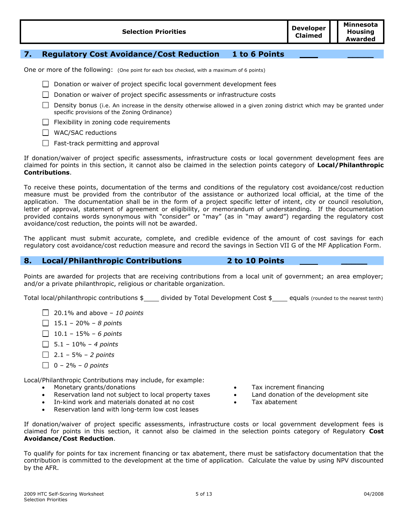| <b>Selection Priorities</b> | Developer  <br><b>Claimed</b> | Minnesota<br><b>Housing</b><br>Awarded |
|-----------------------------|-------------------------------|----------------------------------------|
|-----------------------------|-------------------------------|----------------------------------------|

## **7. Regulatory Cost Avoidance/Cost Reduction 1 to 6 Points \_\_\_\_\_**

One or more of the following: (One point for each box checked, with a maximum of 6 points)

- Donation or waiver of project specific local government development fees
- Donation or waiver of project specific assessments or infrastructure costs
- $\Box$  Density bonus (i.e. An increase in the density otherwise allowed in a given zoning district which may be granted under specific provisions of the Zoning Ordinance)
- $\Box$  Flexibility in zoning code requirements
- WAC/SAC reductions
- $\Box$  Fast-track permitting and approval

If donation/waiver of project specific assessments, infrastructure costs or local government development fees are claimed for points in this section, it cannot also be claimed in the selection points category of **Local/Philanthropic Contributions**.

To receive these points, documentation of the terms and conditions of the regulatory cost avoidance/cost reduction measure must be provided from the contributor of the assistance or authorized local official, at the time of the application. The documentation shall be in the form of a project specific letter of intent, city or council resolution, letter of approval, statement of agreement or eligibility, or memorandum of understanding. If the documentation provided contains words synonymous with "consider" or "may" (as in "may award") regarding the regulatory cost avoidance/cost reduction, the points will not be awarded.

The applicant must submit accurate, complete, and credible evidence of the amount of cost savings for each regulatory cost avoidance/cost reduction measure and record the savings in Section VII G of the MF Application Form.

## **8. Local/Philanthropic Contributions 2 to 10 Points \_\_\_\_\_**

Points are awarded for projects that are receiving contributions from a local unit of government; an area employer; and/or a private philanthropic, religious or charitable organization.

Total local/philanthropic contributions  $\frac{1}{2}$  divided by Total Development Cost  $\frac{1}{2}$  equals (rounded to the nearest tenth)

- 20.1% and above *10 points*
- 15.1 20% *8 point*s
- 10.1 15% *6 points*
- 5.1 10% *4 points*
- 2.1 5% *2 points*
- 0 2% *0 points*

Local/Philanthropic Contributions may include, for example:

- 
- Reservation land not subject to local property taxes Land donation of the development site
- In-kind work and materials donated at no cost Tax abatement
- Reservation land with long-term low cost leases
- Monetary grants/donations **Tax increment financing Tax** increment financing
	-
	-

If donation/waiver of project specific assessments, infrastructure costs or local government development fees is claimed for points in this section, it cannot also be claimed in the selection points category of Regulatory **Cost Avoidance/Cost Reduction**.

To qualify for points for tax increment financing or tax abatement, there must be satisfactory documentation that the contribution is committed to the development at the time of application. Calculate the value by using NPV discounted by the AFR.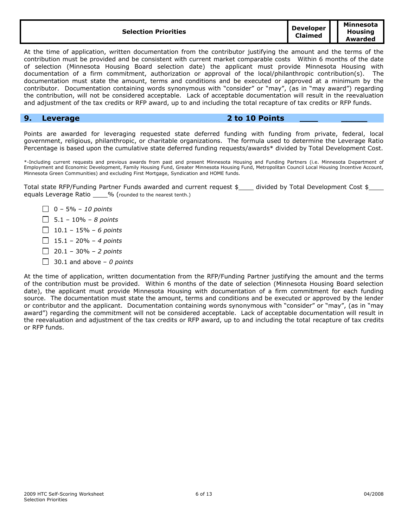| <b>Selection Priorities</b> | <b>Developer</b><br><b>Claimed</b> | Minnesota<br>Housina<br>Awarded |
|-----------------------------|------------------------------------|---------------------------------|
|-----------------------------|------------------------------------|---------------------------------|

At the time of application, written documentation from the contributor justifying the amount and the terms of the contribution must be provided and be consistent with current market comparable costs Within 6 months of the date of selection (Minnesota Housing Board selection date) the applicant must provide Minnesota Housing with documentation of a firm commitment, authorization or approval of the local/philanthropic contribution(s). The documentation must state the amount, terms and conditions and be executed or approved at a minimum by the contributor. Documentation containing words synonymous with "consider" or "may", (as in "may award") regarding the contribution, will not be considered acceptable. Lack of acceptable documentation will result in the reevaluation and adjustment of the tax credits or RFP award, up to and including the total recapture of tax credits or RFP funds.

## **9. Leverage 2 to 10 Points \_\_\_\_\_**

Points are awarded for leveraging requested state deferred funding with funding from private, federal, local government, religious, philanthropic, or charitable organizations. The formula used to determine the Leverage Ratio Percentage is based upon the cumulative state deferred funding requests/awards\* divided by Total Development Cost.

\*-Including current requests and previous awards from past and present Minnesota Housing and Funding Partners (i.e. Minnesota Department of Employment and Economic Development, Family Housing Fund, Greater Minnesota Housing Fund, Metropolitan Council Local Housing Incentive Account, Minnesota Green Communities) and excluding First Mortgage, Syndication and HOME funds.

Total state RFP/Funding Partner Funds awarded and current request \$\_\_\_ divided by Total Development Cost \$ equals Leverage Ratio \_\_\_\_% (rounded to the nearest tenth.)

- 0 5% *10 points*
- 5.1 10% *8 points*
- 10.1 15% *6 points*
- 15.1 20% *4 points*
- 20.1 30% *2 points*
- 30.1 and above *0 points*

At the time of application, written documentation from the RFP/Funding Partner justifying the amount and the terms of the contribution must be provided. Within 6 months of the date of selection (Minnesota Housing Board selection date), the applicant must provide Minnesota Housing with documentation of a firm commitment for each funding source. The documentation must state the amount, terms and conditions and be executed or approved by the lender or contributor and the applicant. Documentation containing words synonymous with "consider" or "may", (as in "may award") regarding the commitment will not be considered acceptable. Lack of acceptable documentation will result in the reevaluation and adjustment of the tax credits or RFP award, up to and including the total recapture of tax credits or RFP funds.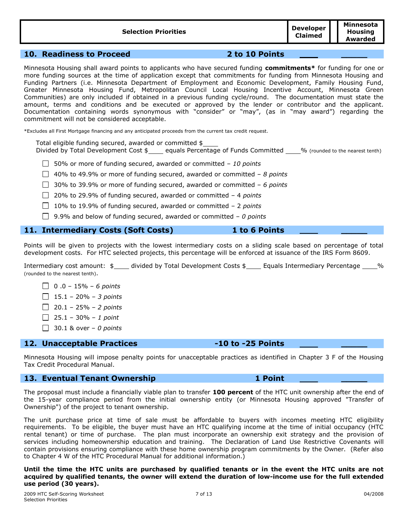| <b>Selection Priorities</b> | Developer<br><b>Claimed</b> | Minnesota<br>Housing<br>Awarded |
|-----------------------------|-----------------------------|---------------------------------|
|-----------------------------|-----------------------------|---------------------------------|

## **10. Readiness to Proceed 2 to 10 Points \_\_\_\_\_**

Minnesota Housing shall award points to applicants who have secured funding **commitments\*** for funding for one or more funding sources at the time of application except that commitments for funding from Minnesota Housing and Funding Partners (i.e. Minnesota Department of Employment and Economic Development, Family Housing Fund, Greater Minnesota Housing Fund, Metropolitan Council Local Housing Incentive Account, Minnesota Green Communities) are only included if obtained in a previous funding cycle/round. The documentation must state the amount, terms and conditions and be executed or approved by the lender or contributor and the applicant. Documentation containing words synonymous with "consider" or "may", (as in "may award") regarding the commitment will not be considered acceptable.

\*Excludes all First Mortgage financing and any anticipated proceeds from the current tax credit request.

Total eligible funding secured, awarded or committed \$

Divided by Total Development Cost \$<br>
equals Percentage of Funds Committed 6 % (rounded to the nearest tenth)

50% or more of funding secured, awarded or committed – *10 points*

40% to 49.9% or more of funding secured, awarded or committed – *8 points*

30% to 39.9% or more of funding secured, awarded or committed – *6 points*

20% to 29.9% of funding secured, awarded or committed – 4 *points*

- 10% to 19.9% of funding secured, awarded or committed 2 *points*
- 9.9% and below of funding secured, awarded or committed *0 points*

## **11. Intermediary Costs (Soft Costs) 1 to 6 Points \_\_\_\_\_**

Points will be given to projects with the lowest intermediary costs on a sliding scale based on percentage of total development costs. For HTC selected projects, this percentage will be enforced at issuance of the IRS Form 8609.

Intermediary cost amount:  $\frac{4}{3}$  divided by Total Development Costs  $\frac{4}{3}$  Equals Intermediary Percentage % (rounded to the nearest tenth).

- 0 .0 15% *6 points*
- 15.1 20% *3 points*
- 20.1 25% *2 points*
- 25.1 30% *1 point*
- 30.1 & over *0 points*

### **12. Unacceptable Practices -10 to -25 Points \_\_\_\_\_**

Minnesota Housing will impose penalty points for unacceptable practices as identified in Chapter 3 F of the Housing Tax Credit Procedural Manual.

## **13. Eventual Tenant Ownership 1 Point \_\_\_\_\_**

The proposal must include a financially viable plan to transfer **100 percent** of the HTC unit ownership after the end of the 15-year compliance period from the initial ownership entity (or Minnesota Housing approved "Transfer of Ownership") of the project to tenant ownership.

The unit purchase price at time of sale must be affordable to buyers with incomes meeting HTC eligibility requirements. To be eligible, the buyer must have an HTC qualifying income at the time of initial occupancy (HTC rental tenant) or time of purchase. The plan must incorporate an ownership exit strategy and the provision of services including homeownership education and training. The Declaration of Land Use Restrictive Covenants will contain provisions ensuring compliance with these home ownership program commitments by the Owner. (Refer also to Chapter 4 W of the HTC Procedural Manual for additional information.)

#### **Until the time the HTC units are purchased by qualified tenants or in the event the HTC units are not acquired by qualified tenants, the owner will extend the duration of low-income use for the full extended use period (30 years).**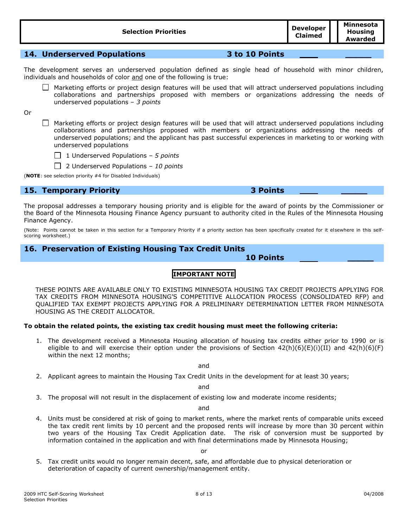| <b>Selection Priorities</b> | <b>Developer</b><br><b>Claimed</b> | Minnesota<br><b>Housing</b><br>Awarded |
|-----------------------------|------------------------------------|----------------------------------------|
|                             |                                    |                                        |

## **14. Underserved Populations 3 to 10 Points \_\_\_\_\_**

The development serves an underserved population defined as single head of household with minor children, individuals and households of color and one of the following is true:

 $\Box$  Marketing efforts or project design features will be used that will attract underserved populations including collaborations and partnerships proposed with members or organizations addressing the needs of underserved populations – *3 points*

Or

 $\Box$  Marketing efforts or project design features will be used that will attract underserved populations including collaborations and partnerships proposed with members or organizations addressing the needs of underserved populations; and the applicant has past successful experiences in marketing to or working with underserved populations



2 Underserved Populations – *10 points*

(**NOTE**: see selection priority #4 for Disabled Individuals)

## **15. Temporary Priority 3 Points \_\_\_\_\_**

The proposal addresses a temporary housing priority and is eligible for the award of points by the Commissioner or the Board of the Minnesota Housing Finance Agency pursuant to authority cited in the Rules of the Minnesota Housing Finance Agency.

(Note: Points cannot be taken in this section for a Temporary Priority if a priority section has been specifically created for it elsewhere in this selfscoring worksheet.)

## **16. Preservation of Existing Housing Tax Credit Units**

**10 Points \_\_\_\_\_**

## **IMPORTANT NOTE**

THESE POINTS ARE AVAILABLE ONLY TO EXISTING MINNESOTA HOUSING TAX CREDIT PROJECTS APPLYING FOR TAX CREDITS FROM MINNESOTA HOUSING'S COMPETITIVE ALLOCATION PROCESS (CONSOLIDATED RFP) and QUALIFIED TAX EXEMPT PROJECTS APPLYING FOR A PRELIMINARY DETERMINATION LETTER FROM MINNESOTA HOUSING AS THE CREDIT ALLOCATOR.

### **To obtain the related points, the existing tax credit housing must meet the following criteria:**

1. The development received a Minnesota Housing allocation of housing tax credits either prior to 1990 or is eligible to and will exercise their option under the provisions of Section 42(h)(6)(E)(i)(II) and 42(h)(6)(F) within the next 12 months;

and

2. Applicant agrees to maintain the Housing Tax Credit Units in the development for at least 30 years;

and

3. The proposal will not result in the displacement of existing low and moderate income residents;

and

4. Units must be considered at risk of going to market rents, where the market rents of comparable units exceed the tax credit rent limits by 10 percent and the proposed rents will increase by more than 30 percent within two years of the Housing Tax Credit Application date. The risk of conversion must be supported by information contained in the application and with final determinations made by Minnesota Housing;

5. Tax credit units would no longer remain decent, safe, and affordable due to physical deterioration or deterioration of capacity of current ownership/management entity.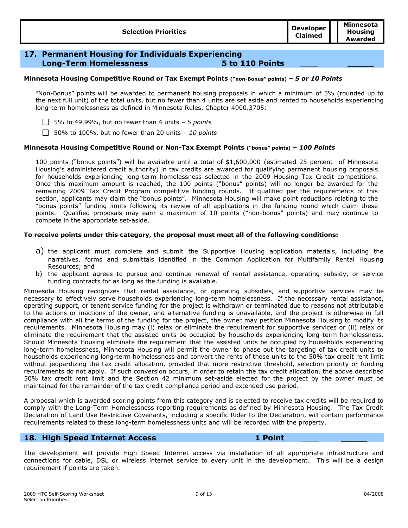## **17. Permanent Housing for Individuals Experiencing Long-Term Homelessness 5 to 110 Points \_\_\_\_\_**

#### **Minnesota Housing Competitive Round or Tax Exempt Points ("non-Bonus" points) –** *5 or 10 Points*

"Non-Bonus" points will be awarded to permanent housing proposals in which a minimum of 5% (rounded up to the next full unit) of the total units, but no fewer than 4 units are set aside and rented to households experiencing long-term homelessness as defined in Minnesota Rules, Chapter 4900.3705:

5% to 49.99%, but no fewer than 4 units – *5 points*

50% to 100%, but no fewer than 20 units – *10 points*

#### **Minnesota Housing Competitive Round or Non-Tax Exempt Points ("bonus" points) –** *100 Points*

100 points ("bonus points") will be available until a total of \$1,600,000 (estimated 25 percent of Minnesota Housing's administered credit authority) in tax credits are awarded for qualifying permanent housing proposals for households experiencing long-term homelessness selected in the 2009 Housing Tax Credit competitions. Once this maximum amount is reached, the 100 points ("bonus" points) will no longer be awarded for the remaining 2009 Tax Credit Program competitive funding rounds. If qualified per the requirements of this section, applicants may claim the "bonus points". Minnesota Housing will make point reductions relating to the "bonus points" funding limits following its review of all applications in the funding round which claim these points. Qualified proposals may earn a maximum of 10 points ("non-bonus" points) and may continue to compete in the appropriate set-aside.

#### **To receive points under this category, the proposal must meet all of the following conditions:**

- a) the applicant must complete and submit the Supportive Housing application materials, including the narratives, forms and submittals identified in the Common Application for Multifamily Rental Housing Resources; and
- b) the applicant agrees to pursue and continue renewal of rental assistance, operating subsidy, or service funding contracts for as long as the funding is available.

Minnesota Housing recognizes that rental assistance, or operating subsidies, and supportive services may be necessary to effectively serve households experiencing long-term homelessness. If the necessary rental assistance, operating support, or tenant service funding for the project is withdrawn or terminated due to reasons not attributable to the actions or inactions of the owner, and alternative funding is unavailable, and the project is otherwise in full compliance with all the terms of the funding for the project, the owner may petition Minnesota Housing to modify its requirements. Minnesota Housing may (i) relax or eliminate the requirement for supportive services or (ii) relax or eliminate the requirement that the assisted units be occupied by households experiencing long-term homelessness. Should Minnesota Housing eliminate the requirement that the assisted units be occupied by households experiencing long-term homelessness, Minnesota Housing will permit the owner to phase out the targeting of tax credit units to households experiencing long-term homelessness and convert the rents of those units to the 50% tax credit rent limit without jeopardizing the tax credit allocation, provided that more restrictive threshold, selection priority or funding requirements do not apply. If such conversion occurs, in order to retain the tax credit allocation, the above described 50% tax credit rent limit and the Section 42 minimum set-aside elected for the project by the owner must be maintained for the remainder of the tax credit compliance period and extended use period.

A proposal which is awarded scoring points from this category and is selected to receive tax credits will be required to comply with the Long-Term Homelessness reporting requirements as defined by Minnesota Housing. The Tax Credit Declaration of Land Use Restrictive Covenants, including a specific Rider to the Declaration, will contain performance requirements related to these long-term homelessness units and will be recorded with the property.

## **18. High Speed Internet Access 1 Point \_\_\_\_\_**

The development will provide High Speed Internet access via installation of all appropriate infrastructure and connections for cable, DSL or wireless internet service to every unit in the development. This will be a design requirement if points are taken.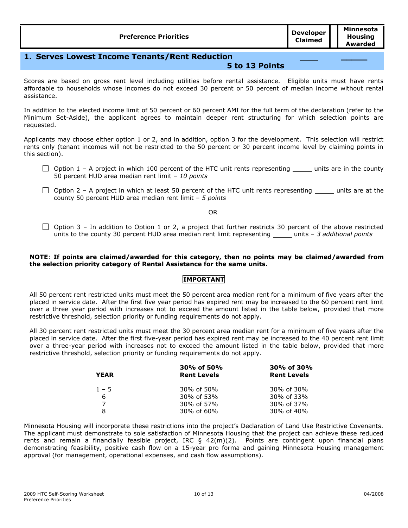**\_\_\_\_\_**

## **1. Serves Lowest Income Tenants/Rent Reduction**

## **5 to 13 Points**

Scores are based on gross rent level including utilities before rental assistance. Eligible units must have rents affordable to households whose incomes do not exceed 30 percent or 50 percent of median income without rental assistance.

In addition to the elected income limit of 50 percent or 60 percent AMI for the full term of the declaration (refer to the Minimum Set-Aside), the applicant agrees to maintain deeper rent structuring for which selection points are requested.

Applicants may choose either option 1 or 2, and in addition, option 3 for the development. This selection will restrict rents only (tenant incomes will not be restricted to the 50 percent or 30 percent income level by claiming points in this section).

- $\Box$  Option 1 A project in which 100 percent of the HTC unit rents representing \_\_\_\_\_ units are in the county 50 percent HUD area median rent limit – *10 points*
- $\Box$  Option 2 A project in which at least 50 percent of the HTC unit rents representing  $\Box$  units are at the county 50 percent HUD area median rent limit – *5 points*

OR

 $\Box$  Option 3 – In addition to Option 1 or 2, a project that further restricts 30 percent of the above restricted units to the county 30 percent HUD area median rent limit representing \_\_\_\_\_ units - 3 additional points

### **NOTE**: **If points are claimed/awarded for this category, then no points may be claimed/awarded from the selection priority category of Rental Assistance for the same units.**

## **IMPORTANT**

All 50 percent rent restricted units must meet the 50 percent area median rent for a minimum of five years after the placed in service date. After the first five year period has expired rent may be increased to the 60 percent rent limit over a three year period with increases not to exceed the amount listed in the table below, provided that more restrictive threshold, selection priority or funding requirements do not apply.

All 30 percent rent restricted units must meet the 30 percent area median rent for a minimum of five years after the placed in service date. After the first five-year period has expired rent may be increased to the 40 percent rent limit over a three-year period with increases not to exceed the amount listed in the table below, provided that more restrictive threshold, selection priority or funding requirements do not apply.

| <b>YEAR</b>    | 30% of 50%<br><b>Rent Levels</b> | 30% of 30%<br><b>Rent Levels</b> |  |
|----------------|----------------------------------|----------------------------------|--|
| $1 - 5$        | 30% of 50%                       | 30% of 30%                       |  |
| 6              | 30% of 53%                       | 30% of 33%                       |  |
| $\overline{7}$ | 30% of 57%                       | 30% of 37%                       |  |
| 8              | 30% of 60%                       | 30% of 40%                       |  |

Minnesota Housing will incorporate these restrictions into the project's Declaration of Land Use Restrictive Covenants. The applicant must demonstrate to sole satisfaction of Minnesota Housing that the project can achieve these reduced rents and remain a financially feasible project, IRC § 42(m)(2). Points are contingent upon financial plans demonstrating feasibility, positive cash flow on a 15-year pro forma and gaining Minnesota Housing management approval (for management, operational expenses, and cash flow assumptions).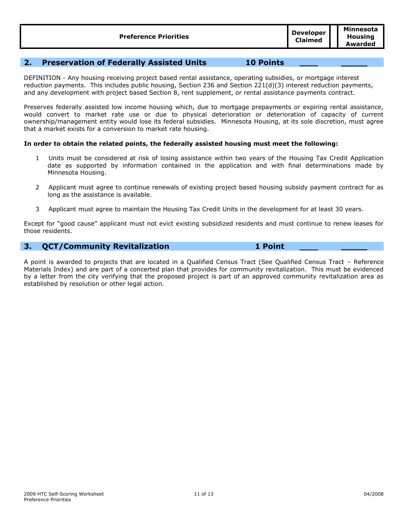## **2. Preservation of Federally Assisted Units 10 Points \_\_\_\_\_**

DEFINITION - Any housing receiving project based rental assistance, operating subsidies, or mortgage interest reduction payments. This includes public housing, Section 236 and Section 221(d)(3) interest reduction payments, and any development with project based Section 8, rent supplement, or rental assistance payments contract.

Preserves federally assisted low income housing which, due to mortgage prepayments or expiring rental assistance, would convert to market rate use or due to physical deterioration or deterioration of capacity of current ownership/management entity would lose its federal subsidies. Minnesota Housing, at its sole discretion, must agree that a market exists for a conversion to market rate housing.

## **In order to obtain the related points, the federally assisted housing must meet the following:**

- 1 Units must be considered at risk of losing assistance within two years of the Housing Tax Credit Application date as supported by information contained in the application and with final determinations made by Minnesota Housing.
- 2 Applicant must agree to continue renewals of existing project based housing subsidy payment contract for as long as the assistance is available.
- 3 Applicant must agree to maintain the Housing Tax Credit Units in the development for at least 30 years.

Except for "good cause" applicant must not evict existing subsidized residents and must continue to renew leases for those residents.

## **3. QCT/Community Revitalization 1 Point \_\_\_\_\_**

A point is awarded to projects that are located in a Qualified Census Tract (See Qualified Census Tract – Reference Materials Index) and are part of a concerted plan that provides for community revitalization. This must be evidenced by a letter from the city verifying that the proposed project is part of an approved community revitalization area as established by resolution or other legal action.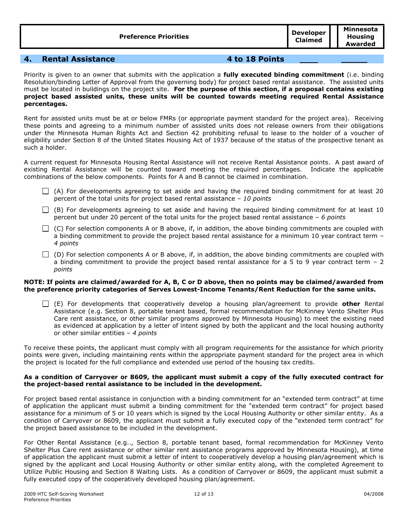| <b>Preference Priorities</b> | <b>Developer</b><br><b>Claimed</b> | Minnesota<br>Housing<br>Awarded |
|------------------------------|------------------------------------|---------------------------------|
|------------------------------|------------------------------------|---------------------------------|

## **4. Rental Assistance 4 to 18 Points \_\_\_\_\_**

Priority is given to an owner that submits with the application a **fully executed binding commitment** (i.e. binding Resolution/binding Letter of Approval from the governing body) for project based rental assistance. The assisted units must be located in buildings on the project site. **For the purpose of this section, if a proposal contains existing project based assisted units, these units will be counted towards meeting required Rental Assistance percentages.**

Rent for assisted units must be at or below FMRs (or appropriate payment standard for the project area). Receiving these points and agreeing to a minimum number of assisted units does not release owners from their obligations under the Minnesota Human Rights Act and Section 42 prohibiting refusal to lease to the holder of a voucher of eligibility under Section 8 of the United States Housing Act of 1937 because of the status of the prospective tenant as such a holder.

A current request for Minnesota Housing Rental Assistance will not receive Rental Assistance points. A past award of existing Rental Assistance will be counted toward meeting the required percentages. Indicate the applicable combinations of the below components. Points for A and B cannot be claimed in combination.

- $\Box$  (A) For developments agreeing to set aside and having the required binding commitment for at least 20 percent of the total units for project based rental assistance – *10 points*
- $\Box$  (B) For developments agreeing to set aside and having the required binding commitment for at least 10 percent but under 20 percent of the total units for the project based rental assistance – *6 points*
- $\Box$  (C) For selection components A or B above, if, in addition, the above binding commitments are coupled with a binding commitment to provide the project based rental assistance for a minimum 10 year contract term – *4 points*
- $\Box$  (D) For selection components A or B above, if, in addition, the above binding commitments are coupled with a binding commitment to provide the project based rental assistance for a 5 to 9 year contract term  $-2$ *points*

#### **NOTE: If points are claimed/awarded for A, B, C or D above, then no points may be claimed/awarded from the preference priority categories of Serves Lowest-Income Tenants/Rent Reduction for the same units.**

(E) For developments that cooperatively develop a housing plan/agreement to provide **other** Rental Assistance (e.g. Section 8, portable tenant based, formal recommendation for McKinney Vento Shelter Plus Care rent assistance, or other similar programs approved by Minnesota Housing) to meet the existing need as evidenced at application by a letter of intent signed by both the applicant and the local housing authority or other similar entities – *4 points*

To receive these points, the applicant must comply with all program requirements for the assistance for which priority points were given, including maintaining rents within the appropriate payment standard for the project area in which the project is located for the full compliance and extended use period of the housing tax credits.

#### **As a condition of Carryover or 8609, the applicant must submit a copy of the fully executed contract for the project-based rental assistance to be included in the development.**

For project based rental assistance in conjunction with a binding commitment for an "extended term contract" at time of application the applicant must submit a binding commitment for the "extended term contract" for project based assistance for a minimum of 5 or 10 years which is signed by the Local Housing Authority or other similar entity. As a condition of Carryover or 8609, the applicant must submit a fully executed copy of the "extended term contract" for the project based assistance to be included in the development.

For Other Rental Assistance (e.g.., Section 8, portable tenant based, formal recommendation for McKinney Vento Shelter Plus Care rent assistance or other similar rent assistance programs approved by Minnesota Housing), at time of application the applicant must submit a letter of intent to cooperatively develop a housing plan/agreement which is signed by the applicant and Local Housing Authority or other similar entity along, with the completed Agreement to Utilize Public Housing and Section 8 Waiting Lists. As a condition of Carryover or 8609, the applicant must submit a fully executed copy of the cooperatively developed housing plan/agreement.